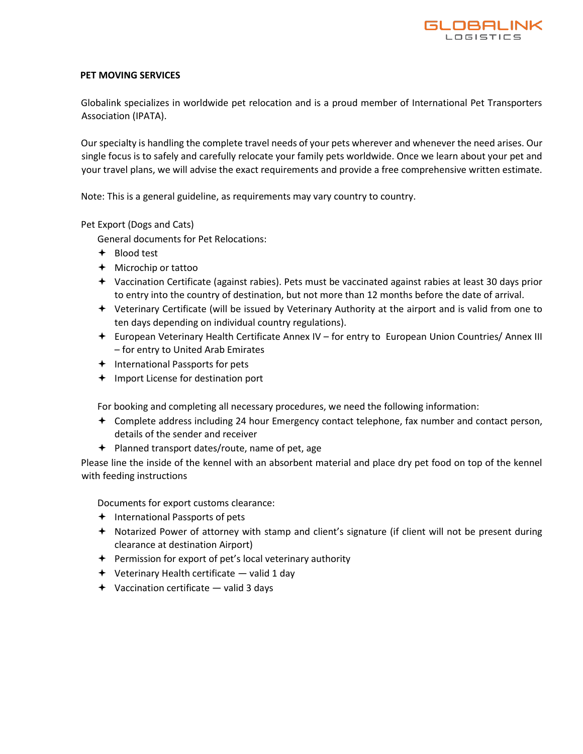

## **PET MOVING SERVICES**

Globalink specializes in worldwide pet relocation and is a proud member of International Pet Transporters Association (IPATA).

Our specialty is handling the complete travel needs of your pets wherever and whenever the need arises. Our single focus is to safely and carefully relocate your family pets worldwide. Once we learn about your pet and your travel plans, we will advise the exact requirements and provide a free comprehensive written estimate.

Note: This is a general guideline, as requirements may vary country to country.

### Pet Export (Dogs and Cats)

General documents for Pet Relocations:

- Blood test
- Microchip or tattoo
- Vaccination Certificate (against rabies). Pets must be vaccinated against rabies at least 30 days prior to entry into the country of destination, but not more than 12 months before the date of arrival.
- Veterinary Certificate (will be issued by Veterinary Authority at the airport and is valid from one to ten days depending on individual country regulations).
- European Veterinary Health Certificate Annex IV for entry to European Union Countries/ Annex III – for entry to United Arab Emirates
- $\triangleleft$  International Passports for pets
- $+$  Import License for destination port

For booking and completing all necessary procedures, we need the following information:

- Complete address including 24 hour Emergency contact telephone, fax number and contact person, details of the sender and receiver
- Planned transport dates/route, name of pet, age

Please line the inside of the kennel with an absorbent material and place dry pet food on top of the kennel with feeding instructions

Documents for export customs clearance:

- $+$  International Passports of pets
- Notarized Power of attorney with stamp and client's signature (if client will not be present during clearance at destination Airport)
- $\triangleq$  Permission for export of pet's local veterinary authority
- $\div$  Veterinary Health certificate valid 1 day
- $\rightarrow$  Vaccination certificate valid 3 days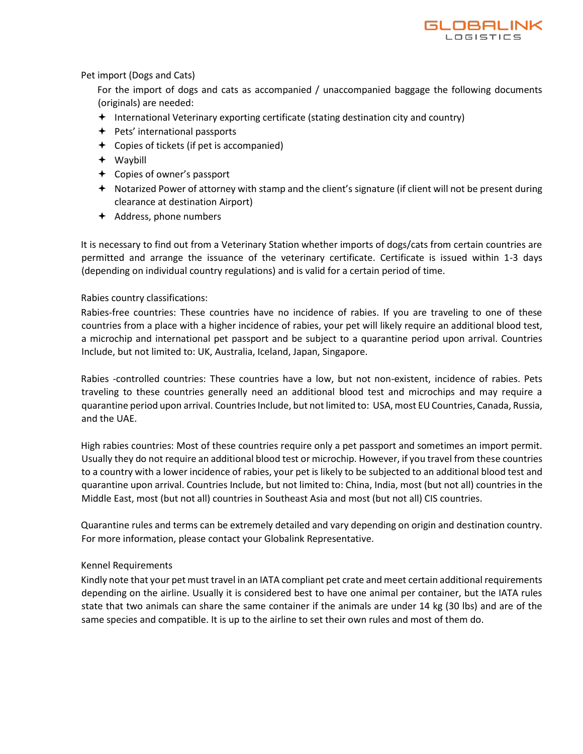

## Pet import (Dogs and Cats)

For the import of dogs and cats as accompanied / unaccompanied baggage the following documents (originals) are needed:

- $\triangleq$  International Veterinary exporting certificate (stating destination city and country)
- $\div$  Pets' international passports
- $\div$  Copies of tickets (if pet is accompanied)
- Waybill
- Copies of owner's passport
- Notarized Power of attorney with stamp and the client's signature (if client will not be present during clearance at destination Airport)
- $\triangleleft$  Address, phone numbers

It is necessary to find out from a Veterinary Station whether imports of dogs/cats from certain countries are permitted and arrange the issuance of the veterinary certificate. Certificate is issued within 1-3 days (depending on individual country regulations) and is valid for a certain period of time.

# Rabies country classifications:

Rabies-free countries: These countries have no incidence of rabies. If you are traveling to one of these countries from a place with a higher incidence of rabies, your pet will likely require an additional blood test, a microchip and international pet passport and be subject to a quarantine period upon arrival. Countries Include, but not limited to: UK, Australia, Iceland, Japan, Singapore.

Rabies -controlled countries: These countries have a low, but not non-existent, incidence of rabies. Pets traveling to these countries generally need an additional blood test and microchips and may require a quarantine period upon arrival. Countries Include, but not limited to: USA, most EU Countries, Canada, Russia, and the UAE.

High rabies countries: Most of these countries require only a pet passport and sometimes an import permit. Usually they do not require an additional blood test or microchip. However, if you travel from these countries to a country with a lower incidence of rabies, your pet is likely to be subjected to an additional blood test and quarantine upon arrival. Countries Include, but not limited to: China, India, most (but not all) countries in the Middle East, most (but not all) countries in Southeast Asia and most (but not all) CIS countries.

Quarantine rules and terms can be extremely detailed and vary depending on origin and destination country. For more information, please contact your Globalink Representative.

# Kennel Requirements

Kindly note that your pet must travel in an IATA compliant pet crate and meet certain additional requirements depending on the airline. Usually it is considered best to have one animal per container, but the IATA rules state that two animals can share the same container if the animals are under 14 kg (30 lbs) and are of the same species and compatible. It is up to the airline to set their own rules and most of them do.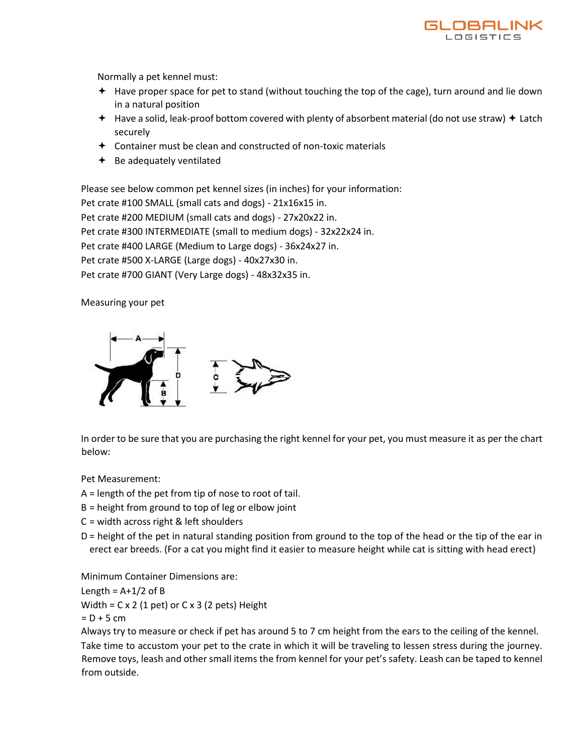

Normally a pet kennel must:

- Have proper space for pet to stand (without touching the top of the cage), turn around and lie down in a natural position
- $+$  Have a solid, leak-proof bottom covered with plenty of absorbent material (do not use straw)  $+$  Latch securely
- $\triangle$  Container must be clean and constructed of non-toxic materials
- $\div$  Be adequately ventilated

Please see below common pet kennel sizes (in inches) for your information:

Pet crate #100 SMALL (small cats and dogs) - 21x16x15 in.

Pet crate #200 MEDIUM (small cats and dogs) - 27x20x22 in.

Pet crate #300 INTERMEDIATE (small to medium dogs) - 32x22x24 in.

Pet crate #400 LARGE (Medium to Large dogs) - 36x24x27 in.

Pet crate #500 X-LARGE (Large dogs) - 40x27x30 in.

Pet crate #700 GIANT (Very Large dogs) - 48x32x35 in.

Measuring your pet



In order to be sure that you are purchasing the right kennel for your pet, you must measure it as per the chart below:

Pet Measurement:

A = length of the pet from tip of nose to root of tail.

B = height from ground to top of leg or elbow joint

C = width across right & left shoulders

D = height of the pet in natural standing position from ground to the top of the head or the tip of the ear in erect ear breeds. (For a cat you might find it easier to measure height while cat is sitting with head erect)

Minimum Container Dimensions are:

Length =  $A+1/2$  of B

Width =  $C \times 2$  (1 pet) or  $C \times 3$  (2 pets) Height

 $= D + 5$  cm

Always try to measure or check if pet has around 5 to 7 cm height from the ears to the ceiling of the kennel. Take time to accustom your pet to the crate in which it will be traveling to lessen stress during the journey. Remove toys, leash and other small items the from kennel for your pet's safety. Leash can be taped to kennel from outside.